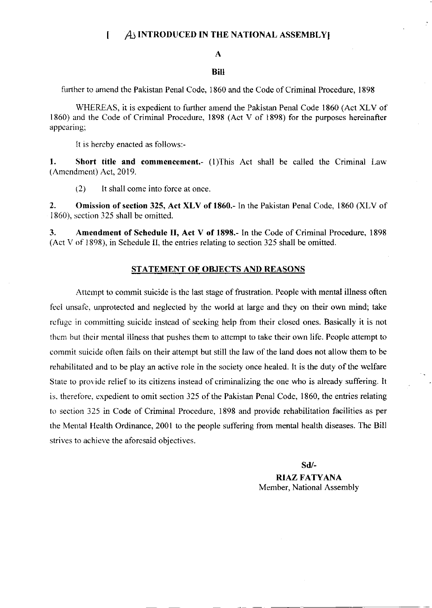### $I$   $A$  INTRODUCED IN THE NATIONAL ASSEMBLY

#### A

#### Bill

further to amend the Pakistan Penal Code, 1860 and the Code of Criminal Procedure, 1898

WHEREAS, it is expedient to further amend the Pakistan Penal Code 1860 (Act XLV of 1860) and the Code of Criminal Procedure, 1898 (Act V of 1898) for the purposes hereinafter appearing;

It is hereby enacted as follows:-

1. Short title and commencement.- (1)This Act shall be called the Criminal Law (Amendment) Act,2019.

 $(2)$  It shall come into force at once.

2. Omission of section 325, Act XLV of 1860.- In the Pakistan Penal Code, 1860 (XLV of 1860), section 325 shall be omitted.

3. Amendment of Schedule II, Act V of 1898.- In the Code of Criminal Procedure, <sup>1898</sup> (Act V of 1898), in Schedule II, the entries relating to section 325 shall be omitted.

#### STATEMENT OF OBJECTS AND REASONS

Atternpt to commit suicide is the last stage of frustration. People with mental illness often feel unsafe, unprotected and neglected by the world at large and they on their own mind; take refuge in committing suicide instead of seeking help from their closed ones. Basically it is not them but their mental illness that pushes them to attempl to take their own life. People attempt to commit suicide often fails on their attempt but still the law of the land does not allow them to be rehabilitated and to be play an active role in the society once healed. It is the duty of the welfare State to provide relief to its citizens instead of criminalizing the one who is already suffering. It is. therefore, expedient to omit section 325 of the Pakistan Penal Code, 1860, the entries relating to section 325 in Code of Criminal Procedure, 1898 and provide rehabilitation facilities as per the Mental Health Ordinance, 2001 to the people suffering from mental health diseases. The Bill strives to achieve the aforcsaid objectives.

sd/-

**RIAZ FATYANA** Member, National Assembly